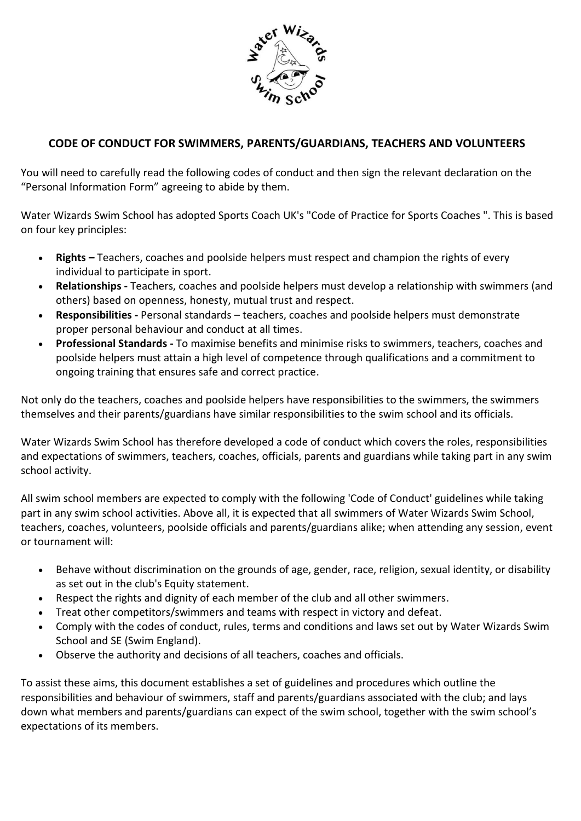

# **CODE OF CONDUCT FOR SWIMMERS, PARENTS/GUARDIANS, TEACHERS AND VOLUNTEERS**

You will need to carefully read the following codes of conduct and then sign the relevant declaration on the "Personal Information Form" agreeing to abide by them.

Water Wizards Swim School has adopted Sports Coach UK's "Code of Practice for Sports Coaches ". This is based on four key principles:

- **Rights –** Teachers, coaches and poolside helpers must respect and champion the rights of every individual to participate in sport.
- **Relationships -** Teachers, coaches and poolside helpers must develop a relationship with swimmers (and others) based on openness, honesty, mutual trust and respect.
- **Responsibilities -** Personal standards teachers, coaches and poolside helpers must demonstrate proper personal behaviour and conduct at all times.
- **Professional Standards -** To maximise benefits and minimise risks to swimmers, teachers, coaches and poolside helpers must attain a high level of competence through qualifications and a commitment to ongoing training that ensures safe and correct practice.

Not only do the teachers, coaches and poolside helpers have responsibilities to the swimmers, the swimmers themselves and their parents/guardians have similar responsibilities to the swim school and its officials.

Water Wizards Swim School has therefore developed a code of conduct which covers the roles, responsibilities and expectations of swimmers, teachers, coaches, officials, parents and guardians while taking part in any swim school activity.

All swim school members are expected to comply with the following 'Code of Conduct' guidelines while taking part in any swim school activities. Above all, it is expected that all swimmers of Water Wizards Swim School, teachers, coaches, volunteers, poolside officials and parents/guardians alike; when attending any session, event or tournament will:

- Behave without discrimination on the grounds of age, gender, race, religion, sexual identity, or disability as set out in the club's Equity statement.
- Respect the rights and dignity of each member of the club and all other swimmers.
- Treat other competitors/swimmers and teams with respect in victory and defeat.
- Comply with the codes of conduct, rules, terms and conditions and laws set out by Water Wizards Swim School and SE (Swim England).
- Observe the authority and decisions of all teachers, coaches and officials.

To assist these aims, this document establishes a set of guidelines and procedures which outline the responsibilities and behaviour of swimmers, staff and parents/guardians associated with the club; and lays down what members and parents/guardians can expect of the swim school, together with the swim school's expectations of its members.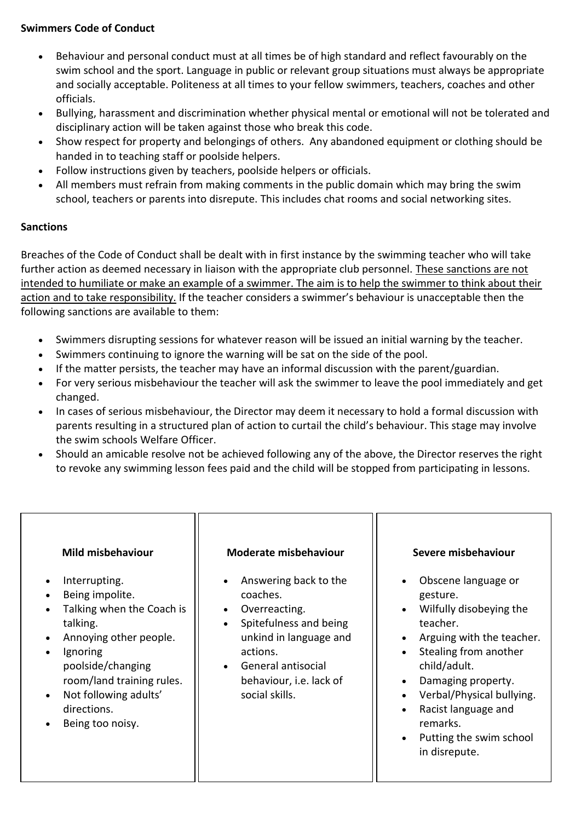## **Swimmers Code of Conduct**

- Behaviour and personal conduct must at all times be of high standard and reflect favourably on the swim school and the sport. Language in public or relevant group situations must always be appropriate and socially acceptable. Politeness at all times to your fellow swimmers, teachers, coaches and other officials.
- Bullying, harassment and discrimination whether physical mental or emotional will not be tolerated and disciplinary action will be taken against those who break this code.
- Show respect for property and belongings of others. Any abandoned equipment or clothing should be handed in to teaching staff or poolside helpers.
- Follow instructions given by teachers, poolside helpers or officials.
- All members must refrain from making comments in the public domain which may bring the swim school, teachers or parents into disrepute. This includes chat rooms and social networking sites.

# **Sanctions**

Breaches of the Code of Conduct shall be dealt with in first instance by the swimming teacher who will take further action as deemed necessary in liaison with the appropriate club personnel. These sanctions are not intended to humiliate or make an example of a swimmer. The aim is to help the swimmer to think about their action and to take responsibility. If the teacher considers a swimmer's behaviour is unacceptable then the following sanctions are available to them:

- Swimmers disrupting sessions for whatever reason will be issued an initial warning by the teacher.
- Swimmers continuing to ignore the warning will be sat on the side of the pool.
- If the matter persists, the teacher may have an informal discussion with the parent/guardian.
- For very serious misbehaviour the teacher will ask the swimmer to leave the pool immediately and get changed.
- In cases of serious misbehaviour, the Director may deem it necessary to hold a formal discussion with parents resulting in a structured plan of action to curtail the child's behaviour. This stage may involve the swim schools Welfare Officer.
- Should an amicable resolve not be achieved following any of the above, the Director reserves the right to revoke any swimming lesson fees paid and the child will be stopped from participating in lessons.

| Mild misbehaviour                                                                                                                                                                                                                          | <b>Moderate misbehaviour</b>                                                                                                                                                                       | Severe misbehaviour                                                                                                                                                                                                                                                                                      |
|--------------------------------------------------------------------------------------------------------------------------------------------------------------------------------------------------------------------------------------------|----------------------------------------------------------------------------------------------------------------------------------------------------------------------------------------------------|----------------------------------------------------------------------------------------------------------------------------------------------------------------------------------------------------------------------------------------------------------------------------------------------------------|
| Interrupting.<br>Being impolite.<br>Talking when the Coach is<br>talking.<br>Annoying other people.<br>Ignoring<br>poolside/changing<br>room/land training rules.<br>Not following adults'<br>$\bullet$<br>directions.<br>Being too noisy. | Answering back to the<br>coaches.<br>Overreacting.<br>$\bullet$<br>Spitefulness and being<br>unkind in language and<br>actions.<br>General antisocial<br>behaviour, i.e. lack of<br>social skills. | Obscene language or<br>gesture.<br>Wilfully disobeying the<br>teacher.<br>Arguing with the teacher.<br>Stealing from another<br>child/adult.<br>Damaging property.<br>Verbal/Physical bullying.<br>$\bullet$<br>Racist language and<br>$\bullet$<br>remarks.<br>Putting the swim school<br>in disrepute. |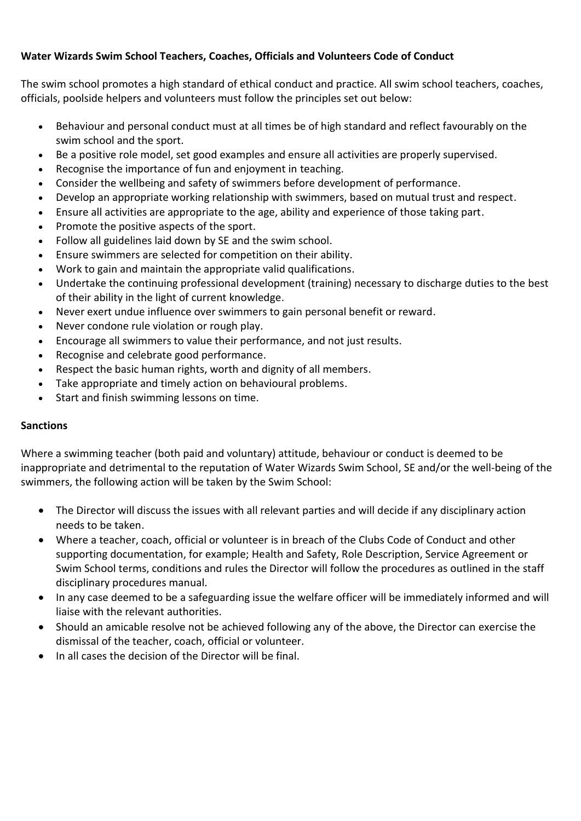## **Water Wizards Swim School Teachers, Coaches, Officials and Volunteers Code of Conduct**

The swim school promotes a high standard of ethical conduct and practice. All swim school teachers, coaches, officials, poolside helpers and volunteers must follow the principles set out below:

- Behaviour and personal conduct must at all times be of high standard and reflect favourably on the swim school and the sport.
- Be a positive role model, set good examples and ensure all activities are properly supervised.
- Recognise the importance of fun and enjoyment in teaching.
- Consider the wellbeing and safety of swimmers before development of performance.
- Develop an appropriate working relationship with swimmers, based on mutual trust and respect.
- Ensure all activities are appropriate to the age, ability and experience of those taking part.
- Promote the positive aspects of the sport.
- Follow all guidelines laid down by SE and the swim school.
- Ensure swimmers are selected for competition on their ability.
- Work to gain and maintain the appropriate valid qualifications.
- Undertake the continuing professional development (training) necessary to discharge duties to the best of their ability in the light of current knowledge.
- Never exert undue influence over swimmers to gain personal benefit or reward.
- Never condone rule violation or rough play.
- Encourage all swimmers to value their performance, and not just results.
- Recognise and celebrate good performance.
- Respect the basic human rights, worth and dignity of all members.
- Take appropriate and timely action on behavioural problems.
- Start and finish swimming lessons on time.

### **Sanctions**

Where a swimming teacher (both paid and voluntary) attitude, behaviour or conduct is deemed to be inappropriate and detrimental to the reputation of Water Wizards Swim School, SE and/or the well-being of the swimmers, the following action will be taken by the Swim School:

- The Director will discuss the issues with all relevant parties and will decide if any disciplinary action needs to be taken.
- Where a teacher, coach, official or volunteer is in breach of the Clubs Code of Conduct and other supporting documentation, for example; Health and Safety, Role Description, Service Agreement or Swim School terms, conditions and rules the Director will follow the procedures as outlined in the staff disciplinary procedures manual.
- In any case deemed to be a safeguarding issue the welfare officer will be immediately informed and will liaise with the relevant authorities.
- Should an amicable resolve not be achieved following any of the above, the Director can exercise the dismissal of the teacher, coach, official or volunteer.
- In all cases the decision of the Director will be final.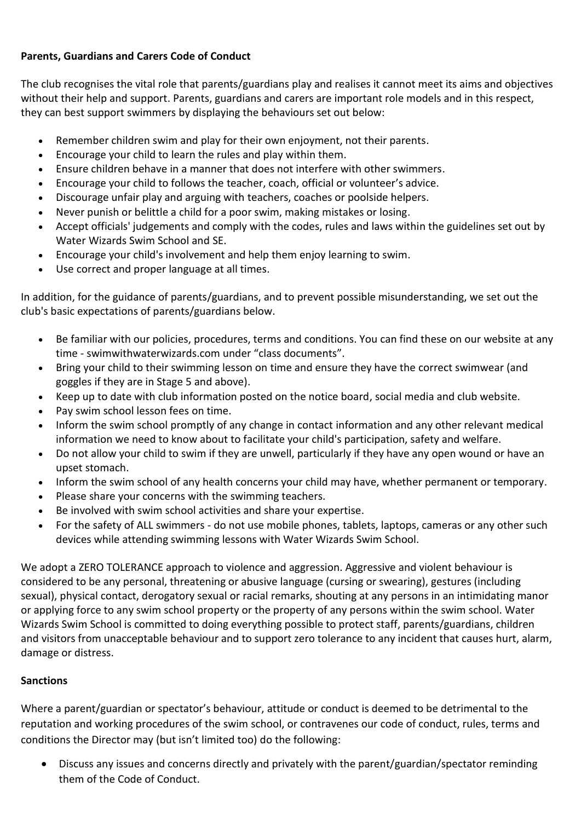## **Parents, Guardians and Carers Code of Conduct**

The club recognises the vital role that parents/guardians play and realises it cannot meet its aims and objectives without their help and support. Parents, guardians and carers are important role models and in this respect, they can best support swimmers by displaying the behaviours set out below:

- Remember children swim and play for their own enjoyment, not their parents.
- Encourage your child to learn the rules and play within them.
- Ensure children behave in a manner that does not interfere with other swimmers.
- Encourage your child to follows the teacher, coach, official or volunteer's advice.
- Discourage unfair play and arguing with teachers, coaches or poolside helpers.
- Never punish or belittle a child for a poor swim, making mistakes or losing.
- Accept officials' judgements and comply with the codes, rules and laws within the guidelines set out by Water Wizards Swim School and SE.
- Encourage your child's involvement and help them enjoy learning to swim.
- Use correct and proper language at all times.

In addition, for the guidance of parents/guardians, and to prevent possible misunderstanding, we set out the club's basic expectations of parents/guardians below.

- Be familiar with our policies, procedures, terms and conditions. You can find these on our website at any time - swimwithwaterwizards.com under "class documents".
- Bring your child to their swimming lesson on time and ensure they have the correct swimwear (and goggles if they are in Stage 5 and above).
- Keep up to date with club information posted on the notice board, social media and club website.
- Pay swim school lesson fees on time.
- Inform the swim school promptly of any change in contact information and any other relevant medical information we need to know about to facilitate your child's participation, safety and welfare.
- Do not allow your child to swim if they are unwell, particularly if they have any open wound or have an upset stomach.
- Inform the swim school of any health concerns your child may have, whether permanent or temporary.
- Please share your concerns with the swimming teachers.
- Be involved with swim school activities and share your expertise.
- For the safety of ALL swimmers do not use mobile phones, tablets, laptops, cameras or any other such devices while attending swimming lessons with Water Wizards Swim School.

We adopt a ZERO TOLERANCE approach to violence and aggression. Aggressive and violent behaviour is considered to be any personal, threatening or abusive language (cursing or swearing), gestures (including sexual), physical contact, derogatory sexual or racial remarks, shouting at any persons in an intimidating manor or applying force to any swim school property or the property of any persons within the swim school. Water Wizards Swim School is committed to doing everything possible to protect staff, parents/guardians, children and visitors from unacceptable behaviour and to support zero tolerance to any incident that causes hurt, alarm, damage or distress.

# **Sanctions**

Where a parent/guardian or spectator's behaviour, attitude or conduct is deemed to be detrimental to the reputation and working procedures of the swim school, or contravenes our code of conduct, rules, terms and conditions the Director may (but isn't limited too) do the following:

• Discuss any issues and concerns directly and privately with the parent/guardian/spectator reminding them of the Code of Conduct.